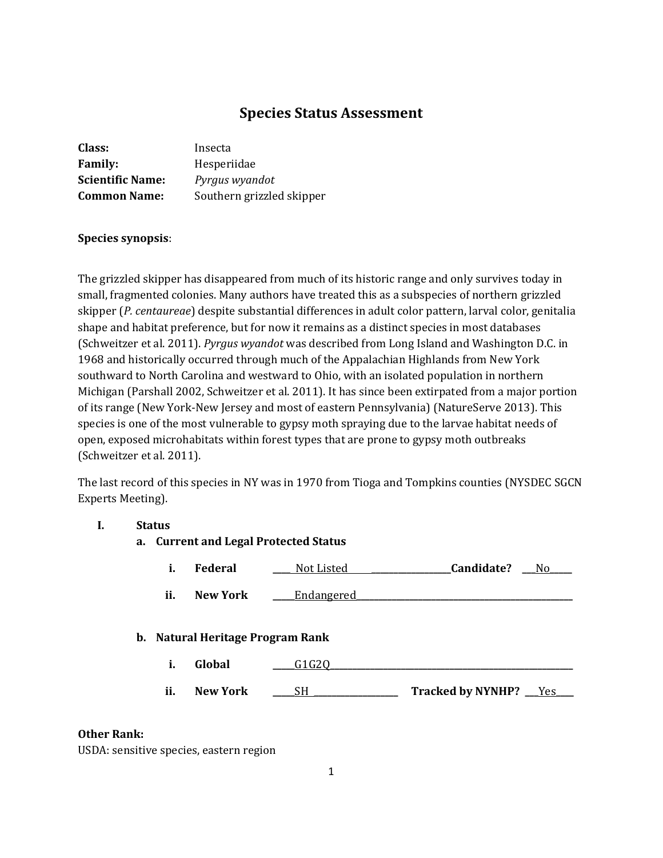## **Species Status Assessment**

| Class:                  | Insecta                   |
|-------------------------|---------------------------|
| <b>Family:</b>          | Hesperiidae               |
| <b>Scientific Name:</b> | Pyrgus wyandot            |
| <b>Common Name:</b>     | Southern grizzled skipper |

## **Species synopsis**:

The grizzled skipper has disappeared from much of its historic range and only survives today in small, fragmented colonies. Many authors have treated this as a subspecies of northern grizzled skipper (*P. centaureae*) despite substantial differences in adult color pattern, larval color, genitalia shape and habitat preference, but for now it remains as a distinct species in most databases (Schweitzer et al. 2011). *Pyrgus wyandot* was described from Long Island and Washington D.C. in 1968 and historically occurred through much of the Appalachian Highlands from New York southward to North Carolina and westward to Ohio, with an isolated population in northern Michigan (Parshall 2002, Schweitzer et al. 2011). It has since been extirpated from a major portion of its range (New York-New Jersey and most of eastern Pennsylvania) (NatureServe 2013). This species is one of the most vulnerable to gypsy moth spraying due to the larvae habitat needs of open, exposed microhabitats within forest types that are prone to gypsy moth outbreaks (Schweitzer et al. 2011).

The last record of this species in NY was in 1970 from Tioga and Tompkins counties (NYSDEC SGCN Experts Meeting).

## **I. Status**

- **a. Current and Legal Protected Status**
	- **i. Federal \_\_\_\_** Not Listed **\_\_\_\_\_\_\_\_\_\_\_\_\_\_\_\_\_\_Candidate? \_\_\_**No**\_\_\_\_\_**  ii. New York <u>\_\_\_\_Endangered</u>

#### **b. Natural Heritage Program Rank**

- **i. Global \_\_\_\_\_**G1G2Q**\_\_\_\_\_\_\_\_\_\_\_\_\_\_\_\_\_\_\_\_\_\_\_\_\_\_\_\_\_\_\_\_\_\_\_\_\_\_\_\_\_\_\_\_\_\_\_\_\_\_\_\_\_\_\_**
- **ii. New York** \_\_\_\_<u>SH \_\_\_\_\_\_\_\_\_\_\_\_</u> Tracked by NYNHP? \_\_\_<u>Yes</u>

#### **Other Rank:**

USDA: sensitive species, eastern region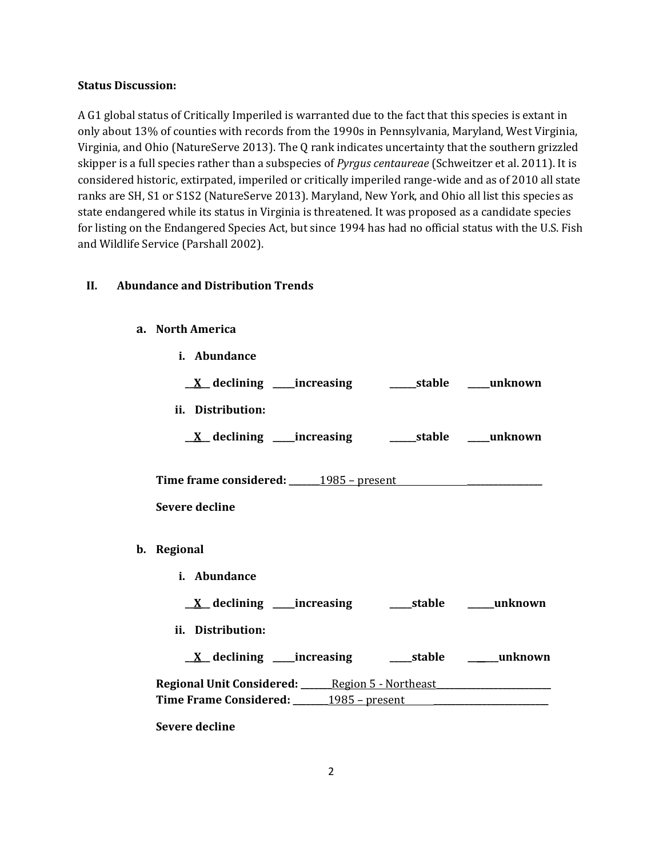#### **Status Discussion:**

A G1 global status of Critically Imperiled is warranted due to the fact that this species is extant in only about 13% of counties with records from the 1990s in Pennsylvania, Maryland, West Virginia, Virginia, and Ohio (NatureServe 2013). The Q rank indicates uncertainty that the southern grizzled skipper is a full species rather than a subspecies of *Pyrgus centaureae* (Schweitzer et al. 2011). It is considered historic, extirpated, imperiled or critically imperiled range-wide and as of 2010 all state ranks are SH, S1 or S1S2 (NatureServe 2013). Maryland, New York, and Ohio all list this species as state endangered while its status in Virginia is threatened. It was proposed as a candidate species for listing on the Endangered Species Act, but since 1994 has had no official status with the U.S. Fish and Wildlife Service (Parshall 2002).

## **II. Abundance and Distribution Trends**

#### **a. North America**

| i. Abundance      |                                                                                                                                                                                                                                                                                                                                              |
|-------------------|----------------------------------------------------------------------------------------------------------------------------------------------------------------------------------------------------------------------------------------------------------------------------------------------------------------------------------------------|
|                   |                                                                                                                                                                                                                                                                                                                                              |
| ii. Distribution: |                                                                                                                                                                                                                                                                                                                                              |
|                   |                                                                                                                                                                                                                                                                                                                                              |
| Severe decline    |                                                                                                                                                                                                                                                                                                                                              |
| b. Regional       |                                                                                                                                                                                                                                                                                                                                              |
| i. Abundance      |                                                                                                                                                                                                                                                                                                                                              |
|                   |                                                                                                                                                                                                                                                                                                                                              |
| ii. Distribution: |                                                                                                                                                                                                                                                                                                                                              |
|                   |                                                                                                                                                                                                                                                                                                                                              |
|                   |                                                                                                                                                                                                                                                                                                                                              |
|                   | <u>X</u> declining ____increasing ___________stable _____unknown<br>Time frame considered: 1985 - present<br><u>X</u> declining ____increasing _______stable ______unknown<br>Regional Unit Considered: ______ Region 5 - Northeast ____________________<br>Time Frame Considered: _______1985 - present ___________________________________ |

**Severe decline**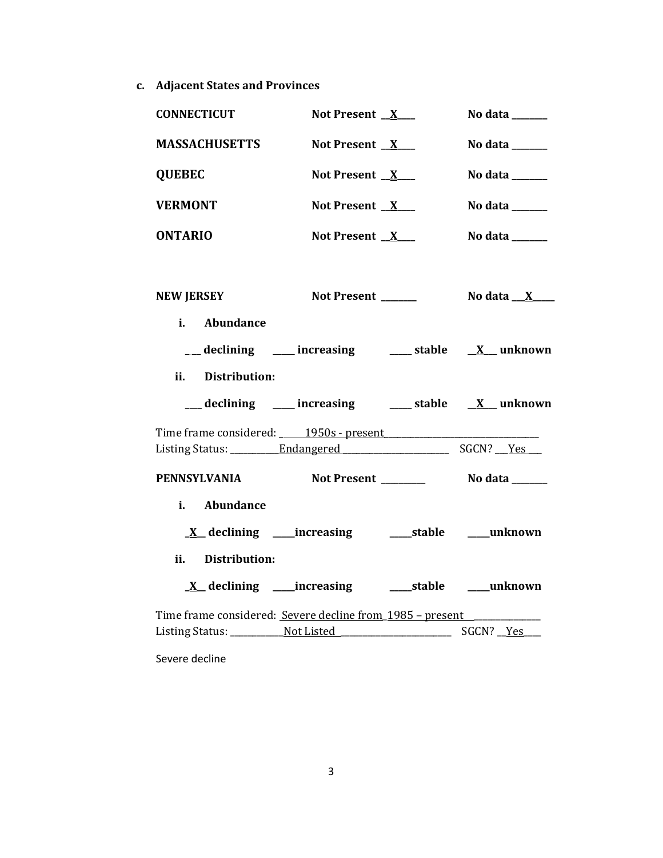**c. Adjacent States and Provinces**

| <b>CONNECTICUT</b>                                                               | Not Present $X$   | No data $\_\_\_\_\_\_\_\_\_\_\$          |
|----------------------------------------------------------------------------------|-------------------|------------------------------------------|
| <b>MASSACHUSETTS</b>                                                             | Not Present $X$   | No data $\_\_\_\_\_\_\_\_\_\_\_\_\_\_\_$ |
| <b>QUEBEC</b>                                                                    | Not Present $X$   | No data ______                           |
| <b>VERMONT</b>                                                                   | Not Present $X$   | No data ______                           |
| <b>ONTARIO</b>                                                                   | Not Present $X$   | No data $\_\_\_\_\_\_\_\_\_\_\_\$        |
|                                                                                  |                   |                                          |
| <b>NEW JERSEY</b>                                                                | Not Present _____ | No data $X$                              |
| i. Abundance                                                                     |                   |                                          |
| $\frac{1}{\sqrt{2}}$ declining ____ increasing ____ stable $\frac{X}{X}$ unknown |                   |                                          |
| ii. Distribution:                                                                |                   |                                          |
| __ declining ___ increasing ___ stable __ X_unknown                              |                   |                                          |
|                                                                                  |                   |                                          |
| PENNSYLVANIA                                                                     |                   |                                          |
| i. Abundance                                                                     |                   |                                          |
| <u>X</u> declining ____increasing ______stable ____unknown                       |                   |                                          |
| ii. Distribution:                                                                |                   |                                          |
| <u>X</u> declining ____increasing ______stable _____unknown                      |                   |                                          |
| Time frame considered: Severe decline from 1985 - present                        |                   |                                          |
|                                                                                  |                   |                                          |
|                                                                                  |                   |                                          |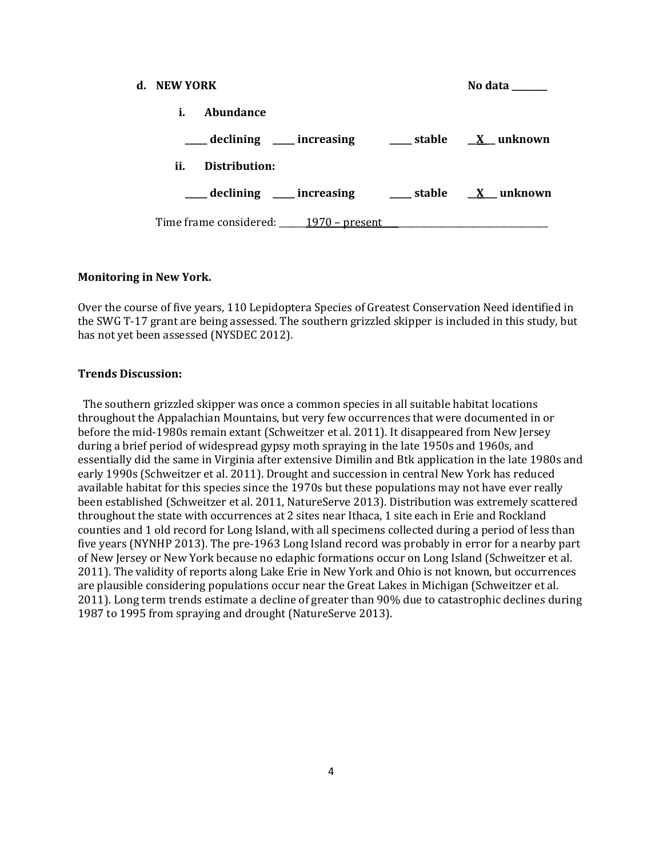| d. NEW YORK |               |  | No data                                                     |
|-------------|---------------|--|-------------------------------------------------------------|
| i.          | Abundance     |  |                                                             |
|             |               |  | ____ declining ____ increasing _____ stable ___ X__ unknown |
| ii.         | Distribution: |  |                                                             |
|             |               |  | ___ declining ___ increasing ___ stable __ X_unknown        |
|             |               |  | Time frame considered: 1970 – present                       |

#### **Monitoring in New York.**

Over the course of five years, 110 Lepidoptera Species of Greatest Conservation Need identified in the SWG T-17 grant are being assessed. The southern grizzled skipper is included in this study, but has not yet been assessed (NYSDEC 2012).

#### **Trends Discussion:**

 The southern grizzled skipper was once a common species in all suitable habitat locations throughout the Appalachian Mountains, but very few occurrences that were documented in or before the mid-1980s remain extant (Schweitzer et al. 2011). It disappeared from New Jersey during a brief period of widespread gypsy moth spraying in the late 1950s and 1960s, and essentially did the same in Virginia after extensive Dimilin and Btk application in the late 1980s and early 1990s (Schweitzer et al. 2011). Drought and succession in central New York has reduced available habitat for this species since the 1970s but these populations may not have ever really been established (Schweitzer et al. 2011, NatureServe 2013). Distribution was extremely scattered throughout the state with occurrences at 2 sites near Ithaca, 1 site each in Erie and Rockland counties and 1 old record for Long Island, with all specimens collected during a period of less than five years (NYNHP 2013). The pre-1963 Long Island record was probably in error for a nearby part of New Jersey or New York because no edaphic formations occur on Long Island (Schweitzer et al. 2011). The validity of reports along Lake Erie in New York and Ohio is not known, but occurrences are plausible considering populations occur near the Great Lakes in Michigan (Schweitzer et al. 2011). Long term trends estimate a decline of greater than 90% due to catastrophic declines during 1987 to 1995 from spraying and drought (NatureServe 2013).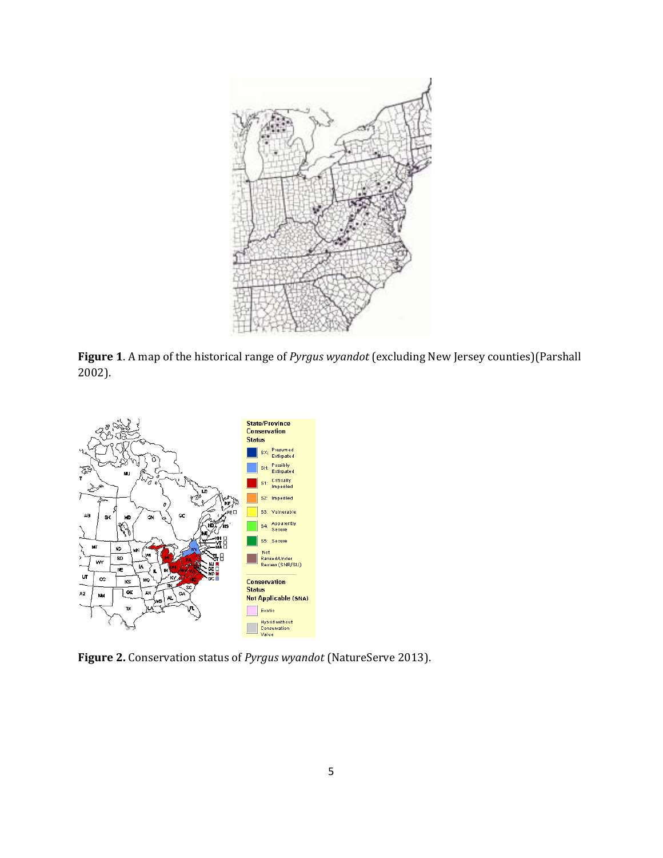

**Figure 1**. A map of the historical range of *Pyrgus wyandot* (excluding New Jersey counties)(Parshall 2002).



**Figure 2.** Conservation status of *Pyrgus wyandot* (NatureServe 2013).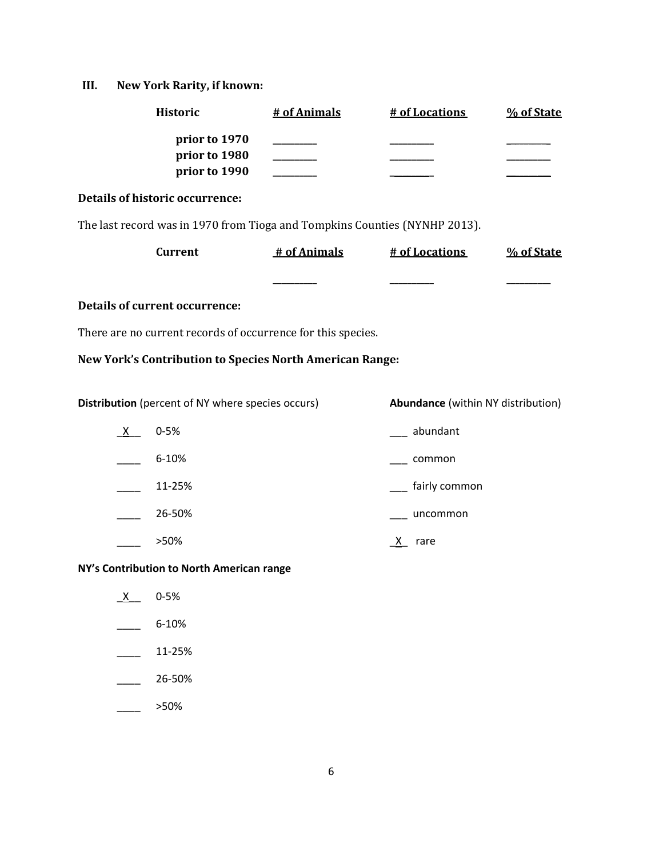# **III. New York Rarity, if known:**

| <b>Historic</b>                                                            |  | # of Animals | # of Locations                            | % of State |
|----------------------------------------------------------------------------|--|--------------|-------------------------------------------|------------|
| prior to 1970<br>prior to 1980<br>prior to 1990                            |  |              |                                           |            |
| <b>Details of historic occurrence:</b>                                     |  |              |                                           |            |
| The last record was in 1970 from Tioga and Tompkins Counties (NYNHP 2013). |  |              |                                           |            |
| <b>Current</b>                                                             |  | # of Animals | # of Locations                            | % of State |
|                                                                            |  |              |                                           |            |
| <b>Details of current occurrence:</b>                                      |  |              |                                           |            |
| There are no current records of occurrence for this species.               |  |              |                                           |            |
| New York's Contribution to Species North American Range:                   |  |              |                                           |            |
| Distribution (percent of NY where species occurs)                          |  |              | <b>Abundance</b> (within NY distribution) |            |
| $0 - 5%$<br><u>x</u>                                                       |  |              | __ abundant                               |            |
| 6-10%                                                                      |  |              | common                                    |            |
| 11-25%                                                                     |  |              | fairly common                             |            |
| 26-50%                                                                     |  |              | uncommon                                  |            |
| >50%                                                                       |  |              | X rare                                    |            |
| NY's Contribution to North American range                                  |  |              |                                           |            |
| $0 - 5%$<br><u>_X_</u>                                                     |  |              |                                           |            |
| 6-10%                                                                      |  |              |                                           |            |
| 11-25%                                                                     |  |              |                                           |            |
| 26-50%                                                                     |  |              |                                           |            |
| >50%                                                                       |  |              |                                           |            |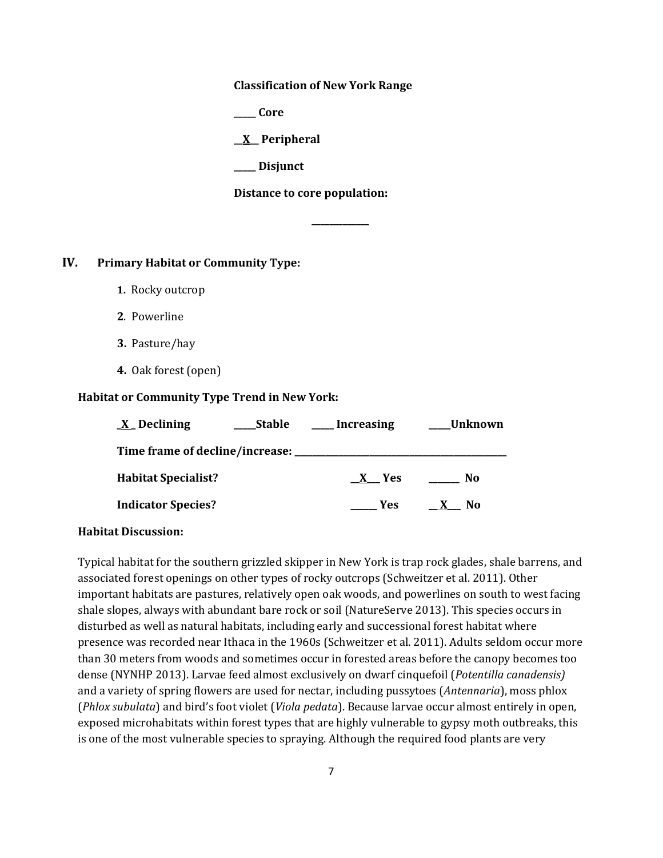**Classification of New York Range**

**\_\_\_\_\_ Core**

**\_\_X\_\_ Peripheral**

**\_\_\_\_\_ Disjunct**

**Distance to core population:**

**\_\_\_\_\_\_\_\_\_\_\_\_\_**

## **IV. Primary Habitat or Community Type:**

- **1.** Rocky outcrop
- **2**. Powerline
- **3.** Pasture/hay
- **4.** Oak forest (open)

#### **Habitat or Community Type Trend in New York:**

| $X$ Declining                      | Stable | Increasing | Unknown |
|------------------------------------|--------|------------|---------|
| Time frame of decline/increase: __ |        |            |         |
| <b>Habitat Specialist?</b>         |        | X Yes      | No      |
| <b>Indicator Species?</b>          |        | <b>Yes</b> | No.     |

#### **Habitat Discussion:**

Typical habitat for the southern grizzled skipper in New York is trap rock glades, shale barrens, and associated forest openings on other types of rocky outcrops (Schweitzer et al. 2011). Other important habitats are pastures, relatively open oak woods, and powerlines on south to west facing shale slopes, always with abundant bare rock or soil (NatureServe 2013). This species occurs in disturbed as well as natural habitats, including early and successional forest habitat where presence was recorded near Ithaca in the 1960s (Schweitzer et al. 2011). Adults seldom occur more than 30 meters from woods and sometimes occur in forested areas before the canopy becomes too dense (NYNHP 2013). Larvae feed almost exclusively on dwarf cinquefoil (*Potentilla canadensis)* and a variety of spring flowers are used for nectar, including pussytoes (*Antennaria*), moss phlox (*Phlox subulata*) and bird's foot violet (*Viola pedata*). Because larvae occur almost entirely in open, exposed microhabitats within forest types that are highly vulnerable to gypsy moth outbreaks, this is one of the most vulnerable species to spraying. Although the required food plants are very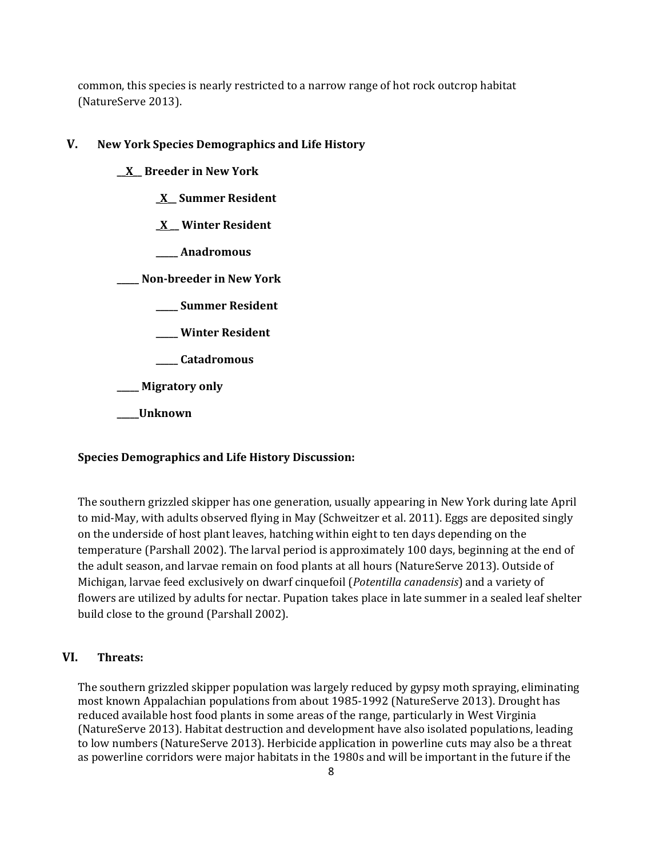common, this species is nearly restricted to a narrow range of hot rock outcrop habitat (NatureServe 2013).

## **V. New York Species Demographics and Life History**

**\_\_X\_\_ Breeder in New York \_X\_\_ Summer Resident \_X \_\_ Winter Resident \_\_\_\_\_ Anadromous \_\_\_\_\_ Non-breeder in New York \_\_\_\_\_ Summer Resident \_\_\_\_\_ Winter Resident \_\_\_\_\_ Catadromous \_\_\_\_\_ Migratory only \_\_\_\_\_Unknown**

#### **Species Demographics and Life History Discussion:**

The southern grizzled skipper has one generation, usually appearing in New York during late April to mid-May, with adults observed flying in May (Schweitzer et al. 2011). Eggs are deposited singly on the underside of host plant leaves, hatching within eight to ten days depending on the temperature (Parshall 2002). The larval period is approximately 100 days, beginning at the end of the adult season, and larvae remain on food plants at all hours (NatureServe 2013). Outside of Michigan, larvae feed exclusively on dwarf cinquefoil (*Potentilla canadensis*) and a variety of flowers are utilized by adults for nectar. Pupation takes place in late summer in a sealed leaf shelter build close to the ground (Parshall 2002).

## **VI. Threats:**

The southern grizzled skipper population was largely reduced by gypsy moth spraying, eliminating most known Appalachian populations from about 1985-1992 (NatureServe 2013). Drought has reduced available host food plants in some areas of the range, particularly in West Virginia (NatureServe 2013). Habitat destruction and development have also isolated populations, leading to low numbers (NatureServe 2013). Herbicide application in powerline cuts may also be a threat as powerline corridors were major habitats in the 1980s and will be important in the future if the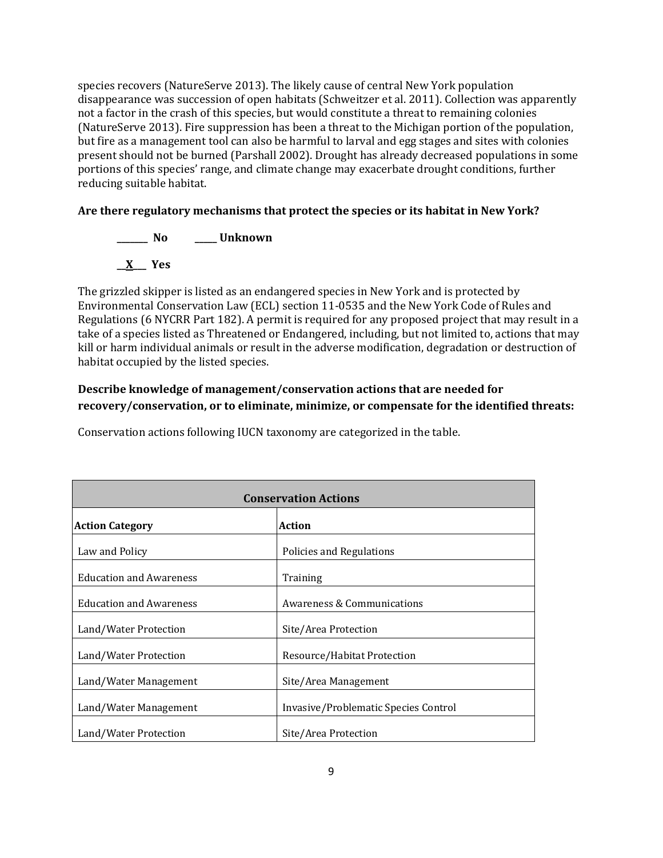species recovers (NatureServe 2013). The likely cause of central New York population disappearance was succession of open habitats (Schweitzer et al. 2011). Collection was apparently not a factor in the crash of this species, but would constitute a threat to remaining colonies (NatureServe 2013). Fire suppression has been a threat to the Michigan portion of the population, but fire as a management tool can also be harmful to larval and egg stages and sites with colonies present should not be burned (Parshall 2002). Drought has already decreased populations in some portions of this species' range, and climate change may exacerbate drought conditions, further reducing suitable habitat.

## **Are there regulatory mechanisms that protect the species or its habitat in New York?**

**\_\_\_\_\_\_\_ No \_\_\_\_\_ Unknown**

**\_\_X\_\_\_ Yes** 

The grizzled skipper is listed as an endangered species in New York and is protected by Environmental Conservation Law (ECL) section 11-0535 and the New York Code of Rules and Regulations (6 NYCRR Part 182). A permit is required for any proposed project that may result in a take of a species listed as Threatened or Endangered, including, but not limited to, actions that may kill or harm individual animals or result in the adverse modification, degradation or destruction of habitat occupied by the listed species.

## **Describe knowledge of management/conservation actions that are needed for recovery/conservation, or to eliminate, minimize, or compensate for the identified threats:**

Conservation actions following IUCN taxonomy are categorized in the table.

| <b>Conservation Actions</b>    |                                      |  |
|--------------------------------|--------------------------------------|--|
| <b>Action Category</b>         | <b>Action</b>                        |  |
| Law and Policy                 | Policies and Regulations             |  |
| <b>Education and Awareness</b> | Training                             |  |
| <b>Education and Awareness</b> | Awareness & Communications           |  |
| Land/Water Protection          | Site/Area Protection                 |  |
| Land/Water Protection          | Resource/Habitat Protection          |  |
| Land/Water Management          | Site/Area Management                 |  |
| Land/Water Management          | Invasive/Problematic Species Control |  |
| Land/Water Protection          | Site/Area Protection                 |  |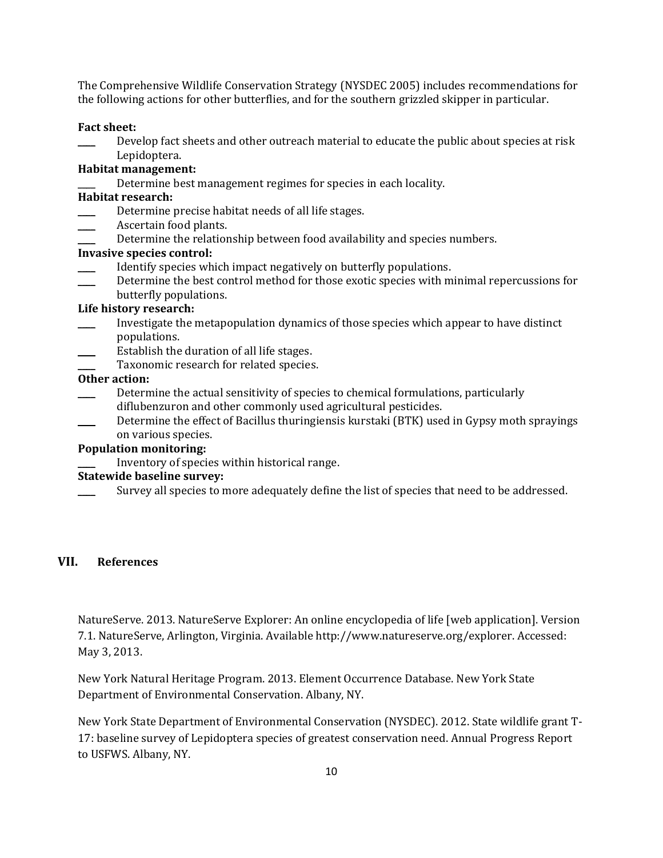The Comprehensive Wildlife Conservation Strategy (NYSDEC 2005) includes recommendations for the following actions for other butterflies, and for the southern grizzled skipper in particular.

#### **Fact sheet:**

Develop fact sheets and other outreach material to educate the public about species at risk Lepidoptera.

#### **Habitat management:**

Determine best management regimes for species in each locality.

#### **Habitat research:**

- Determine precise habitat needs of all life stages.
- Ascertain food plants.
- Determine the relationship between food availability and species numbers.

#### **Invasive species control:**

- \_\_\_\_ Identify species which impact negatively on butterfly populations.
- Determine the best control method for those exotic species with minimal repercussions for butterfly populations.

## **Life history research:**

- \_\_\_\_ Investigate the metapopulation dynamics of those species which appear to have distinct populations.
- Establish the duration of all life stages.
- Taxonomic research for related species.

#### **Other action:**

- \_\_\_\_ Determine the actual sensitivity of species to chemical formulations, particularly diflubenzuron and other commonly used agricultural pesticides.
- Determine the effect of Bacillus thuringiensis kurstaki (BTK) used in Gypsy moth sprayings on various species.

## **Population monitoring:**

\_\_\_\_ Inventory of species within historical range.

## **Statewide baseline survey:**

Survey all species to more adequately define the list of species that need to be addressed.

#### **VII. References**

NatureServe. 2013. NatureServe Explorer: An online encyclopedia of life [web application]. Version 7.1. NatureServe, Arlington, Virginia. Available http://www.natureserve.org/explorer. Accessed: May 3, 2013.

New York Natural Heritage Program. 2013. Element Occurrence Database. New York State Department of Environmental Conservation. Albany, NY.

New York State Department of Environmental Conservation (NYSDEC). 2012. State wildlife grant T-17: baseline survey of Lepidoptera species of greatest conservation need. Annual Progress Report to USFWS. Albany, NY.